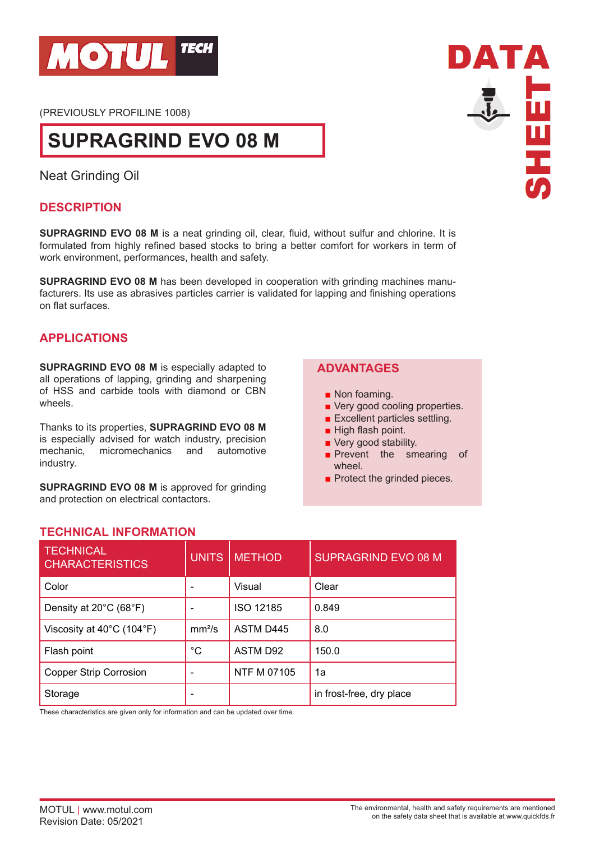

(PREVIOUSLY PROFILINE 1008)

# **SUPRAGRIND EVO 08 M**

Neat Grinding Oil

## **DESCRIPTION**

**SUPRAGRIND EVO 08 M** is a neat grinding oil, clear, fluid, without sulfur and chlorine. It is formulated from highly refined based stocks to bring a better comfort for workers in term of work environment, performances, health and safety.

**SUPRAGRIND EVO 08 M** has been developed in cooperation with grinding machines manufacturers. Its use as abrasives particles carrier is validated for lapping and finishing operations on flat surfaces.

### **APPLICATIONS**

**SUPRAGRIND EVO 08 M** is especially adapted to all operations of lapping, grinding and sharpening of HSS and carbide tools with diamond or CBN wheels.

Thanks to its properties, **SUPRAGRIND EVO 08 M** is especially advised for watch industry, precision mechanic, micromechanics and automotive industry.

**SUPRAGRIND EVO 08 M** is approved for grinding and protection on electrical contactors.

## **ADVANTAGES**

- Non foaming.
- Very good cooling properties.
- Excellent particles settling.
- High flash point.
- Very good stability.
- **Prevent the smearing of** wheel.
- Protect the grinded pieces.

### **TECHNICAL INFORMATION**

| <b>TECHNICAL</b><br><b>CHARACTERISTICS</b>     | <b>UNITS</b>       | <b>METHOD</b>      | <b>SUPRAGRIND EVO 08 M</b> |
|------------------------------------------------|--------------------|--------------------|----------------------------|
| Color                                          |                    | Visual             | Clear                      |
| Density at 20°C (68°F)                         |                    | ISO 12185          | 0.849                      |
| Viscosity at $40^{\circ}$ C (104 $^{\circ}$ F) | mm <sup>2</sup> /s | <b>ASTM D445</b>   | 8.0                        |
| Flash point                                    | $^{\circ}C$        | <b>ASTM D92</b>    | 150.0                      |
| <b>Copper Strip Corrosion</b>                  |                    | <b>NTF M 07105</b> | 1a                         |
| Storage                                        |                    |                    | in frost-free, dry place   |

These characteristics are given only for information and can be updated over time.